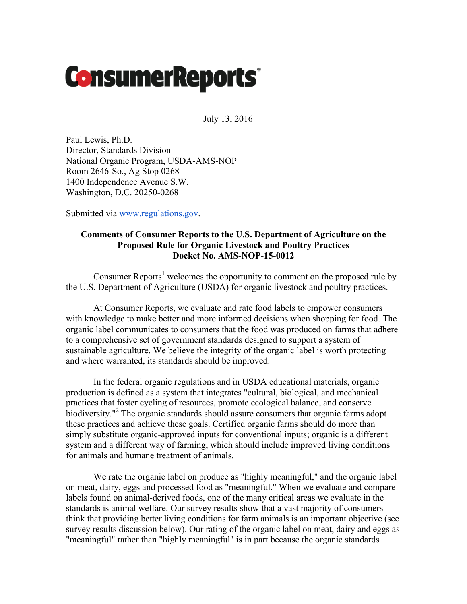# **ConsumerReports**

July 13, 2016

Paul Lewis, Ph.D. Director, Standards Division National Organic Program, USDA-AMS-NOP Room 2646-So., Ag Stop 0268 1400 Independence Avenue S.W. Washington, D.C. 20250-0268

Submitted via www.regulations.gov.

# **Comments of Consumer Reports to the U.S. Department of Agriculture on the Proposed Rule for Organic Livestock and Poultry Practices Docket No. AMS-NOP-15-0012**

Consumer Reports<sup>1</sup> welcomes the opportunity to comment on the proposed rule by the U.S. Department of Agriculture (USDA) for organic livestock and poultry practices.

At Consumer Reports, we evaluate and rate food labels to empower consumers with knowledge to make better and more informed decisions when shopping for food. The organic label communicates to consumers that the food was produced on farms that adhere to a comprehensive set of government standards designed to support a system of sustainable agriculture. We believe the integrity of the organic label is worth protecting and where warranted, its standards should be improved.

In the federal organic regulations and in USDA educational materials, organic production is defined as a system that integrates "cultural, biological, and mechanical practices that foster cycling of resources, promote ecological balance, and conserve biodiversity." <sup>2</sup> The organic standards should assure consumers that organic farms adopt these practices and achieve these goals. Certified organic farms should do more than simply substitute organic-approved inputs for conventional inputs; organic is a different system and a different way of farming, which should include improved living conditions for animals and humane treatment of animals.

We rate the organic label on produce as "highly meaningful," and the organic label on meat, dairy, eggs and processed food as "meaningful." When we evaluate and compare labels found on animal-derived foods, one of the many critical areas we evaluate in the standards is animal welfare. Our survey results show that a vast majority of consumers think that providing better living conditions for farm animals is an important objective (see survey results discussion below). Our rating of the organic label on meat, dairy and eggs as "meaningful" rather than "highly meaningful" is in part because the organic standards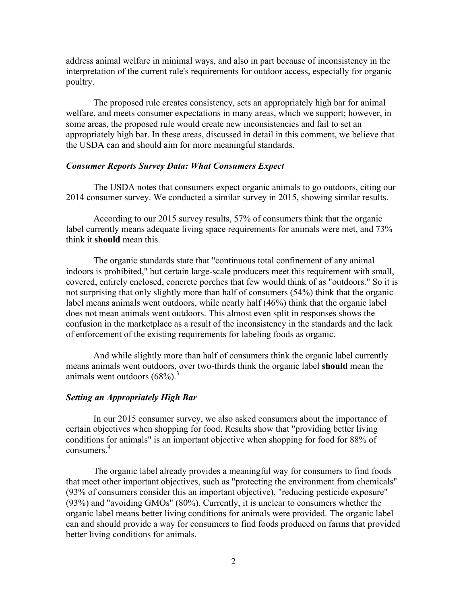address animal welfare in minimal ways, and also in part because of inconsistency in the interpretation of the current rule's requirements for outdoor access, especially for organic poultry.

The proposed rule creates consistency, sets an appropriately high bar for animal welfare, and meets consumer expectations in many areas, which we support; however, in some areas, the proposed rule would create new inconsistencies and fail to set an appropriately high bar. In these areas, discussed in detail in this comment, we believe that the USDA can and should aim for more meaningful standards.

# *Consumer Reports Survey Data: What Consumers Expect*

The USDA notes that consumers expect organic animals to go outdoors, citing our 2014 consumer survey. We conducted a similar survey in 2015, showing similar results.

According to our 2015 survey results, 57% of consumers think that the organic label currently means adequate living space requirements for animals were met, and 73% think it **should** mean this.

The organic standards state that "continuous total confinement of any animal indoors is prohibited," but certain large-scale producers meet this requirement with small, covered, entirely enclosed, concrete porches that few would think of as "outdoors." So it is not surprising that only slightly more than half of consumers (54%) think that the organic label means animals went outdoors, while nearly half (46%) think that the organic label does not mean animals went outdoors. This almost even split in responses shows the confusion in the marketplace as a result of the inconsistency in the standards and the lack of enforcement of the existing requirements for labeling foods as organic.

And while slightly more than half of consumers think the organic label currently means animals went outdoors, over two-thirds think the organic label **should** mean the animals went outdoors  $(68%)$ .<sup>3</sup>

#### *Setting an Appropriately High Bar*

In our 2015 consumer survey, we also asked consumers about the importance of certain objectives when shopping for food. Results show that "providing better living conditions for animals" is an important objective when shopping for food for 88% of consumers<sup>4</sup>

The organic label already provides a meaningful way for consumers to find foods that meet other important objectives, such as "protecting the environment from chemicals" (93% of consumers consider this an important objective), "reducing pesticide exposure" (93%) and "avoiding GMOs" (80%). Currently, it is unclear to consumers whether the organic label means better living conditions for animals were provided. The organic label can and should provide a way for consumers to find foods produced on farms that provided better living conditions for animals.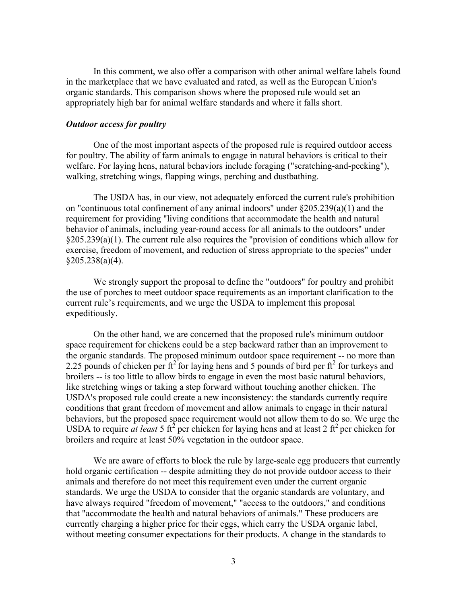In this comment, we also offer a comparison with other animal welfare labels found in the marketplace that we have evaluated and rated, as well as the European Union's organic standards. This comparison shows where the proposed rule would set an appropriately high bar for animal welfare standards and where it falls short.

#### *Outdoor access for poultry*

One of the most important aspects of the proposed rule is required outdoor access for poultry. The ability of farm animals to engage in natural behaviors is critical to their welfare. For laying hens, natural behaviors include foraging ("scratching-and-pecking"), walking, stretching wings, flapping wings, perching and dustbathing.

The USDA has, in our view, not adequately enforced the current rule's prohibition on "continuous total confinement of any animal indoors" under §205.239(a)(1) and the requirement for providing "living conditions that accommodate the health and natural behavior of animals, including year-round access for all animals to the outdoors" under §205.239(a)(1). The current rule also requires the "provision of conditions which allow for exercise, freedom of movement, and reduction of stress appropriate to the species" under §205.238(a)(4).

We strongly support the proposal to define the "outdoors" for poultry and prohibit the use of porches to meet outdoor space requirements as an important clarification to the current rule's requirements, and we urge the USDA to implement this proposal expeditiously.

On the other hand, we are concerned that the proposed rule's minimum outdoor space requirement for chickens could be a step backward rather than an improvement to the organic standards. The proposed minimum outdoor space requirement -- no more than 2.25 pounds of chicken per  $\text{ft}^2$  for laying hens and 5 pounds of bird per  $\text{ft}^2$  for turkeys and broilers -- is too little to allow birds to engage in even the most basic natural behaviors, like stretching wings or taking a step forward without touching another chicken. The USDA's proposed rule could create a new inconsistency: the standards currently require conditions that grant freedom of movement and allow animals to engage in their natural behaviors, but the proposed space requirement would not allow them to do so. We urge the USDA to require *at least* 5 ft<sup>2</sup> per chicken for laying hens and at least 2 ft<sup>2</sup> per chicken for broilers and require at least 50% vegetation in the outdoor space.

We are aware of efforts to block the rule by large-scale egg producers that currently hold organic certification -- despite admitting they do not provide outdoor access to their animals and therefore do not meet this requirement even under the current organic standards. We urge the USDA to consider that the organic standards are voluntary, and have always required "freedom of movement," "access to the outdoors," and conditions that "accommodate the health and natural behaviors of animals." These producers are currently charging a higher price for their eggs, which carry the USDA organic label, without meeting consumer expectations for their products. A change in the standards to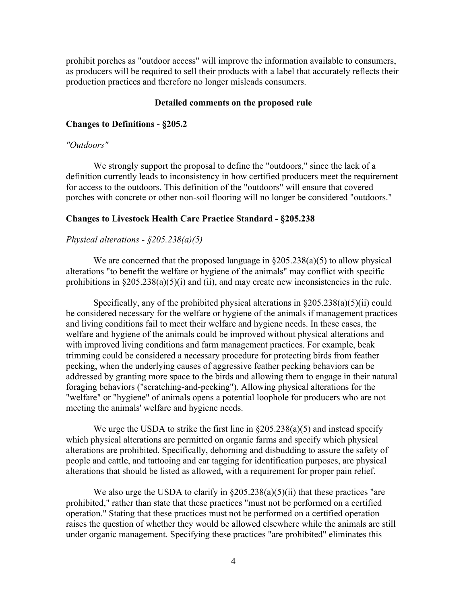prohibit porches as "outdoor access" will improve the information available to consumers, as producers will be required to sell their products with a label that accurately reflects their production practices and therefore no longer misleads consumers.

## **Detailed comments on the proposed rule**

## **Changes to Definitions - §205.2**

## *"Outdoors"*

We strongly support the proposal to define the "outdoors," since the lack of a definition currently leads to inconsistency in how certified producers meet the requirement for access to the outdoors. This definition of the "outdoors" will ensure that covered porches with concrete or other non-soil flooring will no longer be considered "outdoors."

# **Changes to Livestock Health Care Practice Standard - §205.238**

# *Physical alterations - §205.238(a)(5)*

We are concerned that the proposed language in  $\S205.238(a)(5)$  to allow physical alterations "to benefit the welfare or hygiene of the animals" may conflict with specific prohibitions in  $\S 205.238(a)(5)(i)$  and (ii), and may create new inconsistencies in the rule.

Specifically, any of the prohibited physical alterations in  $\S 205.238(a)(5)(ii)$  could be considered necessary for the welfare or hygiene of the animals if management practices and living conditions fail to meet their welfare and hygiene needs. In these cases, the welfare and hygiene of the animals could be improved without physical alterations and with improved living conditions and farm management practices. For example, beak trimming could be considered a necessary procedure for protecting birds from feather pecking, when the underlying causes of aggressive feather pecking behaviors can be addressed by granting more space to the birds and allowing them to engage in their natural foraging behaviors ("scratching-and-pecking"). Allowing physical alterations for the "welfare" or "hygiene" of animals opens a potential loophole for producers who are not meeting the animals' welfare and hygiene needs.

We urge the USDA to strike the first line in  $\S 205.238(a)(5)$  and instead specify which physical alterations are permitted on organic farms and specify which physical alterations are prohibited. Specifically, dehorning and disbudding to assure the safety of people and cattle, and tattooing and ear tagging for identification purposes, are physical alterations that should be listed as allowed, with a requirement for proper pain relief.

We also urge the USDA to clarify in  $\S 205.238(a)(5)(ii)$  that these practices "are prohibited," rather than state that these practices "must not be performed on a certified operation." Stating that these practices must not be performed on a certified operation raises the question of whether they would be allowed elsewhere while the animals are still under organic management. Specifying these practices "are prohibited" eliminates this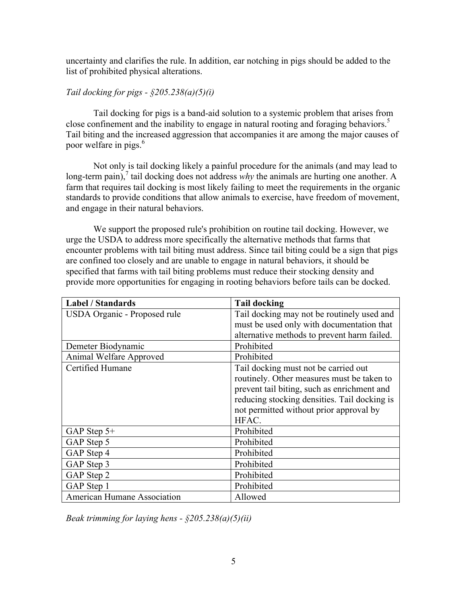uncertainty and clarifies the rule. In addition, ear notching in pigs should be added to the list of prohibited physical alterations.

# *Tail docking for pigs - §205.238(a)(5)(i)*

Tail docking for pigs is a band-aid solution to a systemic problem that arises from close confinement and the inability to engage in natural rooting and foraging behaviors.<sup>5</sup> Tail biting and the increased aggression that accompanies it are among the major causes of poor welfare in pigs.<sup>6</sup>

Not only is tail docking likely a painful procedure for the animals (and may lead to long-term pain),<sup>7</sup> tail docking does not address *why* the animals are hurting one another. A farm that requires tail docking is most likely failing to meet the requirements in the organic standards to provide conditions that allow animals to exercise, have freedom of movement, and engage in their natural behaviors.

We support the proposed rule's prohibition on routine tail docking. However, we urge the USDA to address more specifically the alternative methods that farms that encounter problems with tail biting must address. Since tail biting could be a sign that pigs are confined too closely and are unable to engage in natural behaviors, it should be specified that farms with tail biting problems must reduce their stocking density and provide more opportunities for engaging in rooting behaviors before tails can be docked.

| <b>Label / Standards</b>     | <b>Tail docking</b>                                                                         |
|------------------------------|---------------------------------------------------------------------------------------------|
| USDA Organic - Proposed rule | Tail docking may not be routinely used and                                                  |
|                              | must be used only with documentation that                                                   |
|                              | alternative methods to prevent harm failed.                                                 |
| Demeter Biodynamic           | Prohibited                                                                                  |
| Animal Welfare Approved      | Prohibited                                                                                  |
| Certified Humane             | Tail docking must not be carried out<br>routinely. Other measures must be taken to          |
|                              | prevent tail biting, such as enrichment and<br>reducing stocking densities. Tail docking is |
|                              | not permitted without prior approval by                                                     |
|                              | HFAC.                                                                                       |
| GAP Step 5+                  | Prohibited                                                                                  |
| GAP Step 5                   | Prohibited                                                                                  |
| GAP Step 4                   | Prohibited                                                                                  |
| GAP Step 3                   | Prohibited                                                                                  |
| GAP Step 2                   | Prohibited                                                                                  |
| GAP Step 1                   | Prohibited                                                                                  |
| American Humane Association  | Allowed                                                                                     |

*Beak trimming for laying hens - §205.238(a)(5)(ii)*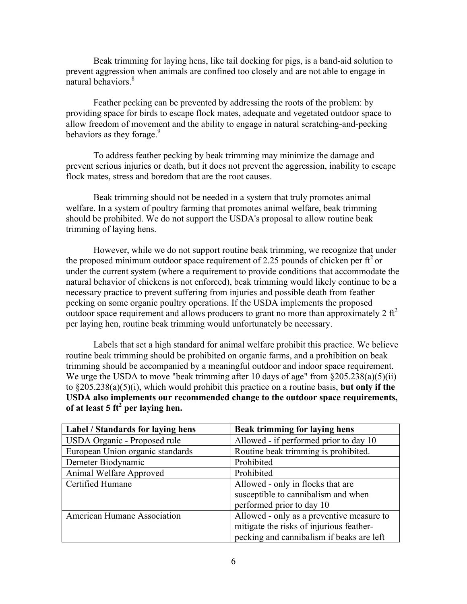Beak trimming for laying hens, like tail docking for pigs, is a band-aid solution to prevent aggression when animals are confined too closely and are not able to engage in natural behaviors.<sup>8</sup>

Feather pecking can be prevented by addressing the roots of the problem: by providing space for birds to escape flock mates, adequate and vegetated outdoor space to allow freedom of movement and the ability to engage in natural scratching-and-pecking behaviors as they forage.<sup>9</sup>

To address feather pecking by beak trimming may minimize the damage and prevent serious injuries or death, but it does not prevent the aggression, inability to escape flock mates, stress and boredom that are the root causes.

Beak trimming should not be needed in a system that truly promotes animal welfare. In a system of poultry farming that promotes animal welfare, beak trimming should be prohibited. We do not support the USDA's proposal to allow routine beak trimming of laying hens.

However, while we do not support routine beak trimming, we recognize that under the proposed minimum outdoor space requirement of 2.25 pounds of chicken per  $\text{ft}^2$  or under the current system (where a requirement to provide conditions that accommodate the natural behavior of chickens is not enforced), beak trimming would likely continue to be a necessary practice to prevent suffering from injuries and possible death from feather pecking on some organic poultry operations. If the USDA implements the proposed outdoor space requirement and allows producers to grant no more than approximately 2  $\text{ft}^2$ per laying hen, routine beak trimming would unfortunately be necessary.

Labels that set a high standard for animal welfare prohibit this practice. We believe routine beak trimming should be prohibited on organic farms, and a prohibition on beak trimming should be accompanied by a meaningful outdoor and indoor space requirement. We urge the USDA to move "beak trimming after 10 days of age" from §205.238(a)(5)(ii) to §205.238(a)(5)(i), which would prohibit this practice on a routine basis, **but only if the USDA also implements our recommended change to the outdoor space requirements, of at least 5 ft<sup>2</sup> per laying hen.**

| Label / Standards for laying hens | <b>Beak trimming for laying hens</b>      |
|-----------------------------------|-------------------------------------------|
| USDA Organic - Proposed rule      | Allowed - if performed prior to day 10    |
| European Union organic standards  | Routine beak trimming is prohibited.      |
| Demeter Biodynamic                | Prohibited                                |
| Animal Welfare Approved           | Prohibited                                |
| Certified Humane                  | Allowed - only in flocks that are         |
|                                   | susceptible to cannibalism and when       |
|                                   | performed prior to day 10                 |
| American Humane Association       | Allowed - only as a preventive measure to |
|                                   | mitigate the risks of injurious feather-  |
|                                   | pecking and cannibalism if beaks are left |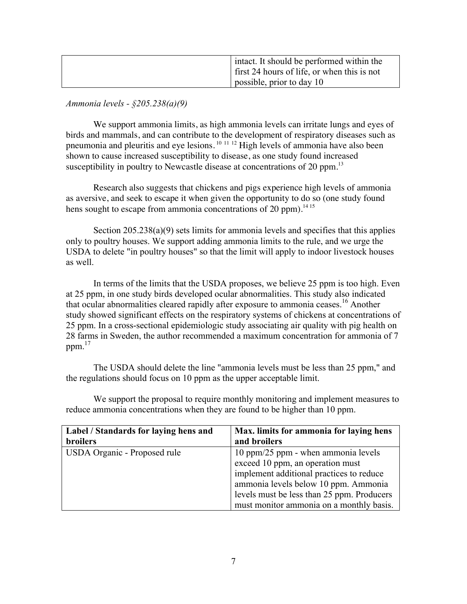|  | I intact. It should be performed within the |
|--|---------------------------------------------|
|  | first 24 hours of life, or when this is not |
|  | possible, prior to day 10                   |

*Ammonia levels - §205.238(a)(9)*

We support ammonia limits, as high ammonia levels can irritate lungs and eyes of birds and mammals, and can contribute to the development of respiratory diseases such as pneumonia and pleuritis and eye lesions. <sup>10</sup> <sup>11</sup> <sup>12</sup> High levels of ammonia have also been shown to cause increased susceptibility to disease, as one study found increased susceptibility in poultry to Newcastle disease at concentrations of 20 ppm.<sup>13</sup>

Research also suggests that chickens and pigs experience high levels of ammonia as aversive, and seek to escape it when given the opportunity to do so (one study found hens sought to escape from ammonia concentrations of 20 ppm).<sup>1415</sup>

Section 205.238(a)(9) sets limits for ammonia levels and specifies that this applies only to poultry houses. We support adding ammonia limits to the rule, and we urge the USDA to delete "in poultry houses" so that the limit will apply to indoor livestock houses as well.

In terms of the limits that the USDA proposes, we believe 25 ppm is too high. Even at 25 ppm, in one study birds developed ocular abnormalities. This study also indicated that ocular abnormalities cleared rapidly after exposure to ammonia ceases.<sup>16</sup> Another study showed significant effects on the respiratory systems of chickens at concentrations of 25 ppm. In a cross-sectional epidemiologic study associating air quality with pig health on 28 farms in Sweden, the author recommended a maximum concentration for ammonia of 7 ppm. $^{17}$ 

The USDA should delete the line "ammonia levels must be less than 25 ppm," and the regulations should focus on 10 ppm as the upper acceptable limit.

We support the proposal to require monthly monitoring and implement measures to reduce ammonia concentrations when they are found to be higher than 10 ppm.

| Label / Standards for laying hens and | Max. limits for ammonia for laying hens    |
|---------------------------------------|--------------------------------------------|
| <b>broilers</b>                       | and broilers                               |
| USDA Organic - Proposed rule          | 10 ppm/25 ppm - when ammonia levels        |
|                                       | exceed 10 ppm, an operation must           |
|                                       | implement additional practices to reduce   |
|                                       | ammonia levels below 10 ppm. Ammonia       |
|                                       | levels must be less than 25 ppm. Producers |
|                                       | must monitor ammonia on a monthly basis.   |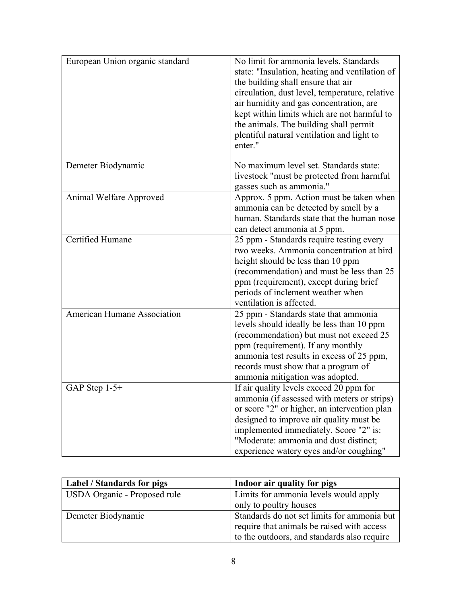| European Union organic standard | No limit for ammonia levels. Standards<br>state: "Insulation, heating and ventilation of<br>the building shall ensure that air<br>circulation, dust level, temperature, relative<br>air humidity and gas concentration, are<br>kept within limits which are not harmful to<br>the animals. The building shall permit<br>plentiful natural ventilation and light to<br>enter." |
|---------------------------------|-------------------------------------------------------------------------------------------------------------------------------------------------------------------------------------------------------------------------------------------------------------------------------------------------------------------------------------------------------------------------------|
| Demeter Biodynamic              | No maximum level set. Standards state:<br>livestock "must be protected from harmful"<br>gasses such as ammonia."                                                                                                                                                                                                                                                              |
| Animal Welfare Approved         | Approx. 5 ppm. Action must be taken when<br>ammonia can be detected by smell by a<br>human. Standards state that the human nose<br>can detect ammonia at 5 ppm.                                                                                                                                                                                                               |
| Certified Humane                | 25 ppm - Standards require testing every<br>two weeks. Ammonia concentration at bird<br>height should be less than 10 ppm<br>(recommendation) and must be less than 25<br>ppm (requirement), except during brief<br>periods of inclement weather when<br>ventilation is affected.                                                                                             |
| American Humane Association     | 25 ppm - Standards state that ammonia<br>levels should ideally be less than 10 ppm<br>(recommendation) but must not exceed 25<br>ppm (requirement). If any monthly<br>ammonia test results in excess of 25 ppm,<br>records must show that a program of<br>ammonia mitigation was adopted.                                                                                     |
| GAP Step $1-5+$                 | If air quality levels exceed 20 ppm for<br>ammonia (if assessed with meters or strips)<br>or score "2" or higher, an intervention plan<br>designed to improve air quality must be<br>implemented immediately. Score "2" is:<br>"Moderate: ammonia and dust distinct;<br>experience watery eyes and/or coughing"                                                               |

| <b>Label / Standards for pigs</b> | Indoor air quality for pigs                 |
|-----------------------------------|---------------------------------------------|
| USDA Organic - Proposed rule      | Limits for ammonia levels would apply       |
|                                   | only to poultry houses                      |
| Demeter Biodynamic                | Standards do not set limits for ammonia but |
|                                   | require that animals be raised with access  |
|                                   | to the outdoors, and standards also require |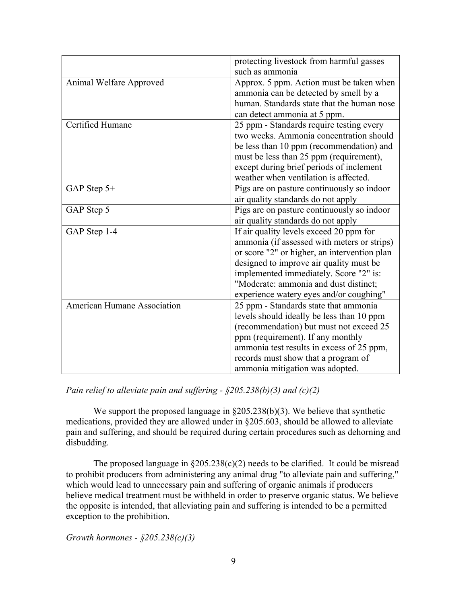|                                    | protecting livestock from harmful gasses     |
|------------------------------------|----------------------------------------------|
|                                    | such as ammonia                              |
| Animal Welfare Approved            | Approx. 5 ppm. Action must be taken when     |
|                                    | ammonia can be detected by smell by a        |
|                                    | human. Standards state that the human nose   |
|                                    | can detect ammonia at 5 ppm.                 |
| Certified Humane                   | 25 ppm - Standards require testing every     |
|                                    | two weeks. Ammonia concentration should      |
|                                    | be less than 10 ppm (recommendation) and     |
|                                    | must be less than 25 ppm (requirement),      |
|                                    | except during brief periods of inclement     |
|                                    | weather when ventilation is affected.        |
| GAP Step 5+                        | Pigs are on pasture continuously so indoor   |
|                                    | air quality standards do not apply           |
| GAP Step 5                         | Pigs are on pasture continuously so indoor   |
|                                    | air quality standards do not apply           |
| GAP Step 1-4                       | If air quality levels exceed 20 ppm for      |
|                                    | ammonia (if assessed with meters or strips)  |
|                                    | or score "2" or higher, an intervention plan |
|                                    | designed to improve air quality must be      |
|                                    | implemented immediately. Score "2" is:       |
|                                    | "Moderate: ammonia and dust distinct;        |
|                                    | experience watery eyes and/or coughing"      |
| <b>American Humane Association</b> | 25 ppm - Standards state that ammonia        |
|                                    | levels should ideally be less than 10 ppm    |
|                                    | (recommendation) but must not exceed 25      |
|                                    | ppm (requirement). If any monthly            |
|                                    | ammonia test results in excess of 25 ppm,    |
|                                    | records must show that a program of          |
|                                    | ammonia mitigation was adopted.              |

*Pain relief to alleviate pain and suffering - §205.238(b)(3) and (c)(2)*

We support the proposed language in §205.238(b)(3). We believe that synthetic medications, provided they are allowed under in §205.603, should be allowed to alleviate pain and suffering, and should be required during certain procedures such as dehorning and disbudding.

The proposed language in  $\S 205.238(c)(2)$  needs to be clarified. It could be misread to prohibit producers from administering any animal drug "to alleviate pain and suffering," which would lead to unnecessary pain and suffering of organic animals if producers believe medical treatment must be withheld in order to preserve organic status. We believe the opposite is intended, that alleviating pain and suffering is intended to be a permitted exception to the prohibition.

*Growth hormones - §205.238(c)(3)*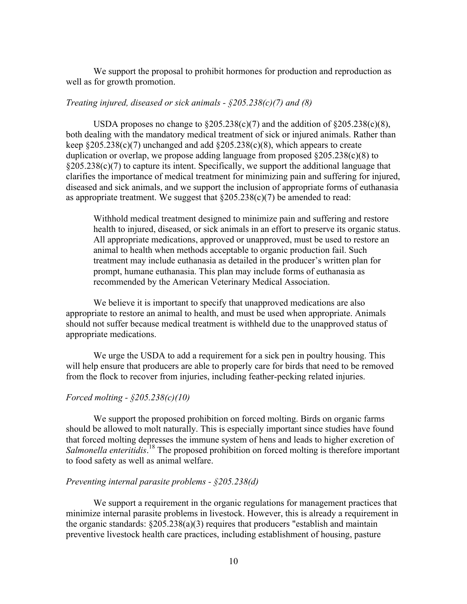We support the proposal to prohibit hormones for production and reproduction as well as for growth promotion.

# *Treating injured, diseased or sick animals - §205.238(c)(7) and (8)*

USDA proposes no change to  $\S205.238(c)(7)$  and the addition of  $\S205.238(c)(8)$ , both dealing with the mandatory medical treatment of sick or injured animals. Rather than keep  $\S205.238(c)(7)$  unchanged and add  $\S205.238(c)(8)$ , which appears to create duplication or overlap, we propose adding language from proposed  $\S 205.238(c)(8)$  to §205.238(c)(7) to capture its intent. Specifically, we support the additional language that clarifies the importance of medical treatment for minimizing pain and suffering for injured, diseased and sick animals, and we support the inclusion of appropriate forms of euthanasia as appropriate treatment. We suggest that  $\S 205.238(c)(7)$  be amended to read:

Withhold medical treatment designed to minimize pain and suffering and restore health to injured, diseased, or sick animals in an effort to preserve its organic status. All appropriate medications, approved or unapproved, must be used to restore an animal to health when methods acceptable to organic production fail. Such treatment may include euthanasia as detailed in the producer's written plan for prompt, humane euthanasia. This plan may include forms of euthanasia as recommended by the American Veterinary Medical Association.

We believe it is important to specify that unapproved medications are also appropriate to restore an animal to health, and must be used when appropriate. Animals should not suffer because medical treatment is withheld due to the unapproved status of appropriate medications.

We urge the USDA to add a requirement for a sick pen in poultry housing. This will help ensure that producers are able to properly care for birds that need to be removed from the flock to recover from injuries, including feather-pecking related injuries.

#### *Forced molting - §205.238(c)(10)*

We support the proposed prohibition on forced molting. Birds on organic farms should be allowed to molt naturally. This is especially important since studies have found that forced molting depresses the immune system of hens and leads to higher excretion of Salmonella enteritidis.<sup>18</sup> The proposed prohibition on forced molting is therefore important to food safety as well as animal welfare.

#### *Preventing internal parasite problems - §205.238(d)*

We support a requirement in the organic regulations for management practices that minimize internal parasite problems in livestock. However, this is already a requirement in the organic standards:  $\S205.238(a)(3)$  requires that producers "establish and maintain preventive livestock health care practices, including establishment of housing, pasture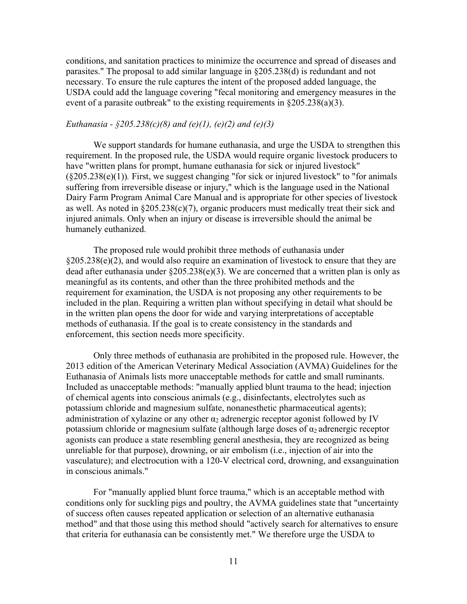conditions, and sanitation practices to minimize the occurrence and spread of diseases and parasites." The proposal to add similar language in §205.238(d) is redundant and not necessary. To ensure the rule captures the intent of the proposed added language, the USDA could add the language covering "fecal monitoring and emergency measures in the event of a parasite outbreak" to the existing requirements in  $\S 205.238(a)(3)$ .

# *Euthanasia - §205.238(c)(8) and (e)(1), (e)(2) and (e)(3)*

We support standards for humane euthanasia, and urge the USDA to strengthen this requirement. In the proposed rule, the USDA would require organic livestock producers to have "written plans for prompt, humane euthanasia for sick or injured livestock" (§205.238(e)(1))*.* First, we suggest changing "for sick or injured livestock" to "for animals suffering from irreversible disease or injury," which is the language used in the National Dairy Farm Program Animal Care Manual and is appropriate for other species of livestock as well. As noted in  $\S 205.238(c)(7)$ , organic producers must medically treat their sick and injured animals. Only when an injury or disease is irreversible should the animal be humanely euthanized.

The proposed rule would prohibit three methods of euthanasia under §205.238(e)(2), and would also require an examination of livestock to ensure that they are dead after euthanasia under  $\S 205.238(e)(3)$ . We are concerned that a written plan is only as meaningful as its contents, and other than the three prohibited methods and the requirement for examination, the USDA is not proposing any other requirements to be included in the plan. Requiring a written plan without specifying in detail what should be in the written plan opens the door for wide and varying interpretations of acceptable methods of euthanasia. If the goal is to create consistency in the standards and enforcement, this section needs more specificity.

Only three methods of euthanasia are prohibited in the proposed rule. However, the 2013 edition of the American Veterinary Medical Association (AVMA) Guidelines for the Euthanasia of Animals lists more unacceptable methods for cattle and small ruminants. Included as unacceptable methods: "manually applied blunt trauma to the head; injection of chemical agents into conscious animals (e.g., disinfectants, electrolytes such as potassium chloride and magnesium sulfate, nonanesthetic pharmaceutical agents); administration of xylazine or any other  $\alpha_2$  adrenergic receptor agonist followed by IV potassium chloride or magnesium sulfate (although large doses of  $\alpha_2$  adrenergic receptor agonists can produce a state resembling general anesthesia, they are recognized as being unreliable for that purpose), drowning, or air embolism (i.e., injection of air into the vasculature); and electrocution with a 120-V electrical cord, drowning, and exsanguination in conscious animals."

For "manually applied blunt force trauma," which is an acceptable method with conditions only for suckling pigs and poultry, the AVMA guidelines state that "uncertainty of success often causes repeated application or selection of an alternative euthanasia method" and that those using this method should "actively search for alternatives to ensure that criteria for euthanasia can be consistently met." We therefore urge the USDA to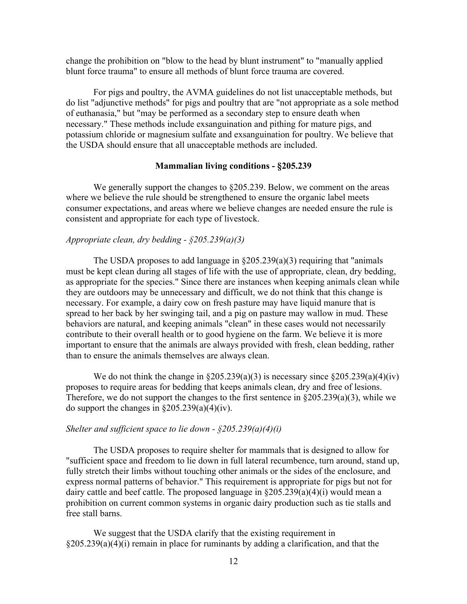change the prohibition on "blow to the head by blunt instrument" to "manually applied blunt force trauma" to ensure all methods of blunt force trauma are covered.

For pigs and poultry, the AVMA guidelines do not list unacceptable methods, but do list "adjunctive methods" for pigs and poultry that are "not appropriate as a sole method of euthanasia," but "may be performed as a secondary step to ensure death when necessary." These methods include exsanguination and pithing for mature pigs, and potassium chloride or magnesium sulfate and exsanguination for poultry. We believe that the USDA should ensure that all unacceptable methods are included.

#### **Mammalian living conditions - §205.239**

We generally support the changes to  $\S 205.239$ . Below, we comment on the areas where we believe the rule should be strengthened to ensure the organic label meets consumer expectations, and areas where we believe changes are needed ensure the rule is consistent and appropriate for each type of livestock.

# *Appropriate clean, dry bedding - §205.239(a)(3)*

The USDA proposes to add language in  $\S205.239(a)(3)$  requiring that "animals" must be kept clean during all stages of life with the use of appropriate, clean, dry bedding, as appropriate for the species." Since there are instances when keeping animals clean while they are outdoors may be unnecessary and difficult, we do not think that this change is necessary. For example, a dairy cow on fresh pasture may have liquid manure that is spread to her back by her swinging tail, and a pig on pasture may wallow in mud. These behaviors are natural, and keeping animals "clean" in these cases would not necessarily contribute to their overall health or to good hygiene on the farm. We believe it is more important to ensure that the animals are always provided with fresh, clean bedding, rather than to ensure the animals themselves are always clean.

We do not think the change in  $\S 205.239(a)(3)$  is necessary since  $\S 205.239(a)(4)(iv)$ proposes to require areas for bedding that keeps animals clean, dry and free of lesions. Therefore, we do not support the changes to the first sentence in §205.239(a)(3), while we do support the changes in  $\S 205.239(a)(4)(iv)$ .

## *Shelter and sufficient space to lie down - §205.239(a)(4)(i)*

The USDA proposes to require shelter for mammals that is designed to allow for "sufficient space and freedom to lie down in full lateral recumbence, turn around, stand up, fully stretch their limbs without touching other animals or the sides of the enclosure, and express normal patterns of behavior." This requirement is appropriate for pigs but not for dairy cattle and beef cattle. The proposed language in §205.239(a)(4)(i) would mean a prohibition on current common systems in organic dairy production such as tie stalls and free stall barns.

We suggest that the USDA clarify that the existing requirement in §205.239(a)(4)(i) remain in place for ruminants by adding a clarification, and that the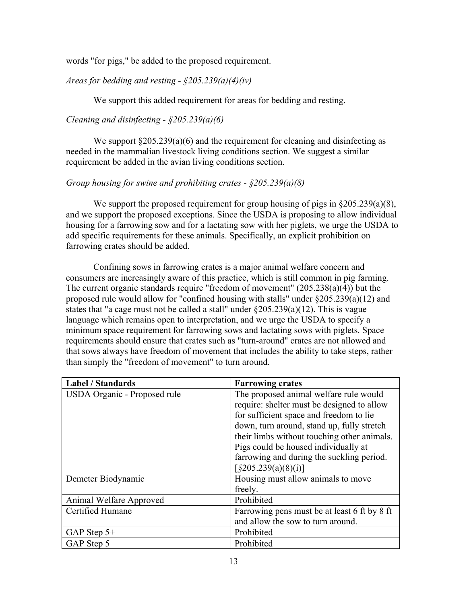words "for pigs," be added to the proposed requirement.

*Areas for bedding and resting - §205.239(a)(4)(iv)*

We support this added requirement for areas for bedding and resting.

*Cleaning and disinfecting - §205.239(a)(6)*

We support  $\S 205.239(a)(6)$  and the requirement for cleaning and disinfecting as needed in the mammalian livestock living conditions section. We suggest a similar requirement be added in the avian living conditions section.

# *Group housing for swine and prohibiting crates - §205.239(a)(8)*

We support the proposed requirement for group housing of pigs in §205.239(a)(8), and we support the proposed exceptions. Since the USDA is proposing to allow individual housing for a farrowing sow and for a lactating sow with her piglets, we urge the USDA to add specific requirements for these animals. Specifically, an explicit prohibition on farrowing crates should be added.

Confining sows in farrowing crates is a major animal welfare concern and consumers are increasingly aware of this practice, which is still common in pig farming. The current organic standards require "freedom of movement" (205.238(a)(4)) but the proposed rule would allow for "confined housing with stalls" under §205.239(a)(12) and states that "a cage must not be called a stall" under §205.239(a)(12). This is vague language which remains open to interpretation, and we urge the USDA to specify a minimum space requirement for farrowing sows and lactating sows with piglets. Space requirements should ensure that crates such as "turn-around" crates are not allowed and that sows always have freedom of movement that includes the ability to take steps, rather than simply the "freedom of movement" to turn around.

| <b>Label / Standards</b>     | <b>Farrowing crates</b>                      |
|------------------------------|----------------------------------------------|
| USDA Organic - Proposed rule | The proposed animal welfare rule would       |
|                              | require: shelter must be designed to allow   |
|                              | for sufficient space and freedom to lie      |
|                              | down, turn around, stand up, fully stretch   |
|                              | their limbs without touching other animals.  |
|                              | Pigs could be housed individually at         |
|                              | farrowing and during the suckling period.    |
|                              | $\left[\frac{6205.239(a)(8)(i)}{2}\right]$   |
| Demeter Biodynamic           | Housing must allow animals to move           |
|                              | freely.                                      |
| Animal Welfare Approved      | Prohibited                                   |
| Certified Humane             | Farrowing pens must be at least 6 ft by 8 ft |
|                              | and allow the sow to turn around.            |
| GAP Step $5+$                | Prohibited                                   |
| GAP Step 5                   | Prohibited                                   |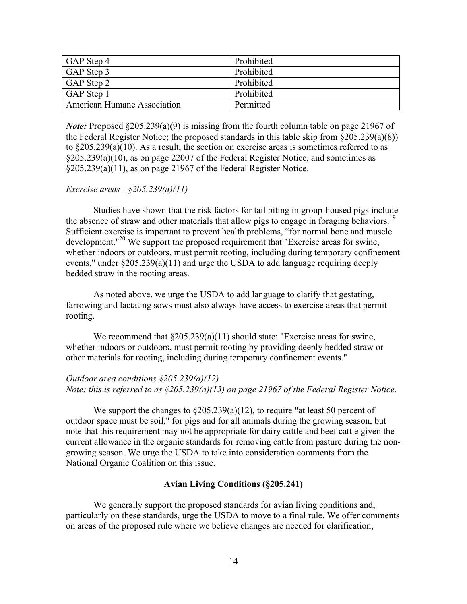| GAP Step 4                  | Prohibited |
|-----------------------------|------------|
| GAP Step 3                  | Prohibited |
| GAP Step 2                  | Prohibited |
| GAP Step 1                  | Prohibited |
| American Humane Association | Permitted  |

*Note:* Proposed §205.239(a)(9) is missing from the fourth column table on page 21967 of the Federal Register Notice; the proposed standards in this table skip from  $\S 205.239(a)(8)$ ) to §205.239(a)(10). As a result, the section on exercise areas is sometimes referred to as §205.239(a)(10), as on page 22007 of the Federal Register Notice, and sometimes as §205.239(a)(11), as on page 21967 of the Federal Register Notice.

# *Exercise areas - §205.239(a)(11)*

Studies have shown that the risk factors for tail biting in group-housed pigs include the absence of straw and other materials that allow pigs to engage in foraging behaviors.<sup>19</sup> Sufficient exercise is important to prevent health problems, "for normal bone and muscle development."20 We support the proposed requirement that "Exercise areas for swine, whether indoors or outdoors, must permit rooting, including during temporary confinement events," under §205.239(a)(11) and urge the USDA to add language requiring deeply bedded straw in the rooting areas.

As noted above, we urge the USDA to add language to clarify that gestating, farrowing and lactating sows must also always have access to exercise areas that permit rooting.

We recommend that  $\S 205.239(a)(11)$  should state: "Exercise areas for swine, whether indoors or outdoors, must permit rooting by providing deeply bedded straw or other materials for rooting, including during temporary confinement events."

# *Outdoor area conditions §205.239(a)(12) Note: this is referred to as §205.239(a)(13) on page 21967 of the Federal Register Notice.*

We support the changes to  $\S 205.239(a)(12)$ , to require "at least 50 percent of outdoor space must be soil," for pigs and for all animals during the growing season, but note that this requirement may not be appropriate for dairy cattle and beef cattle given the current allowance in the organic standards for removing cattle from pasture during the nongrowing season. We urge the USDA to take into consideration comments from the National Organic Coalition on this issue.

## **Avian Living Conditions (§205.241)**

We generally support the proposed standards for avian living conditions and, particularly on these standards, urge the USDA to move to a final rule. We offer comments on areas of the proposed rule where we believe changes are needed for clarification,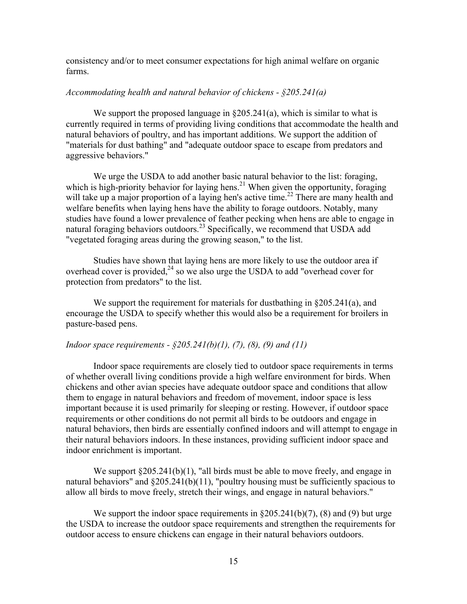consistency and/or to meet consumer expectations for high animal welfare on organic farms.

# *Accommodating health and natural behavior of chickens - §205.241(a)*

We support the proposed language in  $\S 205.241(a)$ , which is similar to what is currently required in terms of providing living conditions that accommodate the health and natural behaviors of poultry, and has important additions. We support the addition of "materials for dust bathing" and "adequate outdoor space to escape from predators and aggressive behaviors."

We urge the USDA to add another basic natural behavior to the list: foraging, which is high-priority behavior for laying hens.<sup>21</sup> When given the opportunity, foraging will take up a major proportion of a laying hen's active time.<sup>22</sup> There are many health and welfare benefits when laying hens have the ability to forage outdoors. Notably, many studies have found a lower prevalence of feather pecking when hens are able to engage in natural foraging behaviors outdoors.<sup>23</sup> Specifically, we recommend that USDA add "vegetated foraging areas during the growing season," to the list.

Studies have shown that laying hens are more likely to use the outdoor area if overhead cover is provided,<sup>24</sup> so we also urge the USDA to add "overhead cover for protection from predators" to the list.

We support the requirement for materials for dustbathing in §205.241(a), and encourage the USDA to specify whether this would also be a requirement for broilers in pasture-based pens.

## *Indoor space requirements - §205.241(b)(1), (7), (8), (9) and (11)*

Indoor space requirements are closely tied to outdoor space requirements in terms of whether overall living conditions provide a high welfare environment for birds. When chickens and other avian species have adequate outdoor space and conditions that allow them to engage in natural behaviors and freedom of movement, indoor space is less important because it is used primarily for sleeping or resting. However, if outdoor space requirements or other conditions do not permit all birds to be outdoors and engage in natural behaviors, then birds are essentially confined indoors and will attempt to engage in their natural behaviors indoors. In these instances, providing sufficient indoor space and indoor enrichment is important.

We support  $\S 205.241(b)(1)$ , "all birds must be able to move freely, and engage in natural behaviors" and §205.241(b)(11), "poultry housing must be sufficiently spacious to allow all birds to move freely, stretch their wings, and engage in natural behaviors."

We support the indoor space requirements in  $\S 205.241(b)(7)$ , (8) and (9) but urge the USDA to increase the outdoor space requirements and strengthen the requirements for outdoor access to ensure chickens can engage in their natural behaviors outdoors.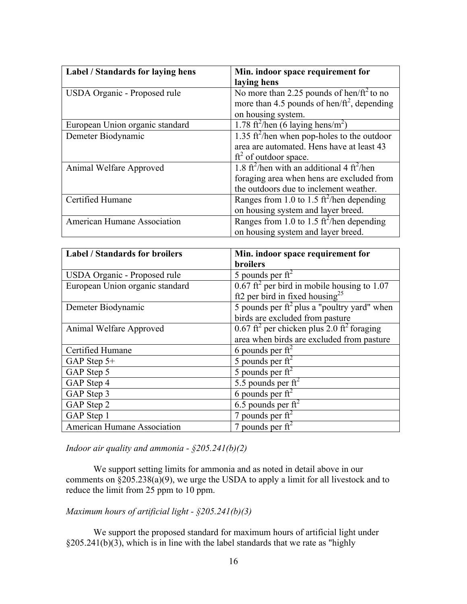| Label / Standards for laying hens  | Min. indoor space requirement for                                  |
|------------------------------------|--------------------------------------------------------------------|
|                                    | laying hens                                                        |
| USDA Organic - Proposed rule       | No more than 2.25 pounds of hen/ $ft^2$ to no                      |
|                                    | more than 4.5 pounds of hen/ $ft^2$ , depending                    |
|                                    | on housing system.                                                 |
| European Union organic standard    | 1.78 ft <sup>2</sup> /hen (6 laying hens/m <sup>2</sup> )          |
| Demeter Biodynamic                 | 1.35 ft <sup>2</sup> /hen when pop-holes to the outdoor            |
|                                    | area are automated. Hens have at least 43                          |
|                                    | $ft2$ of outdoor space.                                            |
| Animal Welfare Approved            | 1.8 ft <sup>2</sup> /hen with an additional 4 ft <sup>2</sup> /hen |
|                                    | foraging area when hens are excluded from                          |
|                                    | the outdoors due to inclement weather.                             |
| Certified Humane                   | Ranges from 1.0 to 1.5 $\text{ft}^2$ /hen depending                |
|                                    | on housing system and layer breed.                                 |
| <b>American Humane Association</b> | Ranges from 1.0 to 1.5 $\text{ft}^2$ /hen depending                |
|                                    | on housing system and layer breed.                                 |

| <b>Label / Standards for broilers</b> | Min. indoor space requirement for                                    |
|---------------------------------------|----------------------------------------------------------------------|
|                                       | <b>broilers</b>                                                      |
| USDA Organic - Proposed rule          | 5 pounds per $\text{ft}^2$                                           |
| European Union organic standard       | $\overline{0.67 \text{ ft}^2}$ per bird in mobile housing to 1.07    |
|                                       | ft2 per bird in fixed housing <sup>25</sup>                          |
| Demeter Biodynamic                    | 5 pounds per $\hat{\pi}^2$ plus a "poultry yard" when                |
|                                       | birds are excluded from pasture                                      |
| Animal Welfare Approved               | $0.67$ ft <sup>2</sup> per chicken plus 2.0 ft <sup>2</sup> foraging |
|                                       | area when birds are excluded from pasture                            |
| Certified Humane                      | 6 pounds per $\text{ft}^2$                                           |
| GAP Step 5+                           | 5 pounds per $\text{ft}^2$                                           |
| GAP Step 5                            | 5 pounds per $\text{ft}^2$                                           |
| GAP Step 4                            | 5.5 pounds per $\text{ft}^2$                                         |
| GAP Step 3                            | 6 pounds per $\overline{\text{ft}^2}$                                |
| GAP Step 2                            | 6.5 pounds per $\text{ft}^2$                                         |
| GAP Step 1                            | 7 pounds per $\text{ft}^2$                                           |
| <b>American Humane Association</b>    | 7 pounds per $ft^2$                                                  |

*Indoor air quality and ammonia - §205.241(b)(2)*

We support setting limits for ammonia and as noted in detail above in our comments on  $\frac{1}{2}$ (205.238(a)(9), we urge the USDA to apply a limit for all livestock and to reduce the limit from 25 ppm to 10 ppm.

# *Maximum hours of artificial light - §205.241(b)(3)*

We support the proposed standard for maximum hours of artificial light under  $§205.241(b)(3)$ , which is in line with the label standards that we rate as "highly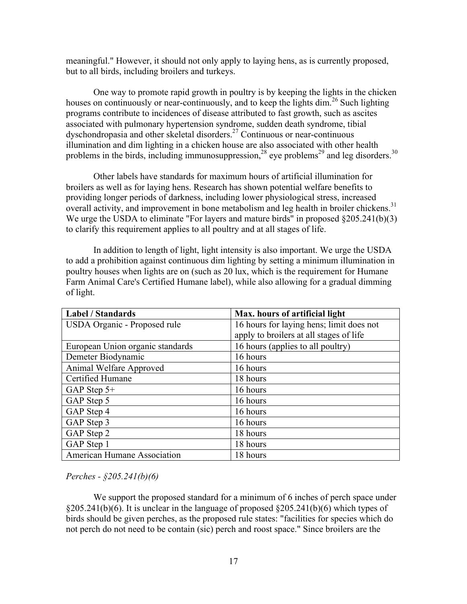meaningful." However, it should not only apply to laying hens, as is currently proposed, but to all birds, including broilers and turkeys.

One way to promote rapid growth in poultry is by keeping the lights in the chicken houses on continuously or near-continuously, and to keep the lights dim.<sup>26</sup> Such lighting programs contribute to incidences of disease attributed to fast growth, such as ascites associated with pulmonary hypertension syndrome, sudden death syndrome, tibial dyschondropasia and other skeletal disorders.27 Continuous or near-continuous illumination and dim lighting in a chicken house are also associated with other health problems in the birds, including immunosuppression,<sup>28</sup> eye problems<sup>29</sup> and leg disorders.<sup>30</sup>

Other labels have standards for maximum hours of artificial illumination for broilers as well as for laying hens. Research has shown potential welfare benefits to providing longer periods of darkness, including lower physiological stress, increased overall activity, and improvement in bone metabolism and leg health in broiler chickens.<sup>31</sup> We urge the USDA to eliminate "For layers and mature birds" in proposed  $\S 205.241(b)(3)$ to clarify this requirement applies to all poultry and at all stages of life.

In addition to length of light, light intensity is also important. We urge the USDA to add a prohibition against continuous dim lighting by setting a minimum illumination in poultry houses when lights are on (such as 20 lux, which is the requirement for Humane Farm Animal Care's Certified Humane label), while also allowing for a gradual dimming of light.

| <b>Label / Standards</b>         | Max. hours of artificial light           |
|----------------------------------|------------------------------------------|
| USDA Organic - Proposed rule     | 16 hours for laying hens; limit does not |
|                                  | apply to broilers at all stages of life  |
| European Union organic standards | 16 hours (applies to all poultry)        |
| Demeter Biodynamic               | 16 hours                                 |
| Animal Welfare Approved          | 16 hours                                 |
| Certified Humane                 | 18 hours                                 |
| GAP Step $5+$                    | 16 hours                                 |
| GAP Step 5                       | 16 hours                                 |
| GAP Step 4                       | 16 hours                                 |
| GAP Step 3                       | 16 hours                                 |
| GAP Step 2                       | 18 hours                                 |
| GAP Step 1                       | 18 hours                                 |
| American Humane Association      | 18 hours                                 |

*Perches - §205.241(b)(6)*

We support the proposed standard for a minimum of 6 inches of perch space under  $§205.241(b)(6)$ . It is unclear in the language of proposed  $§205.241(b)(6)$  which types of birds should be given perches, as the proposed rule states: "facilities for species which do not perch do not need to be contain (sic) perch and roost space." Since broilers are the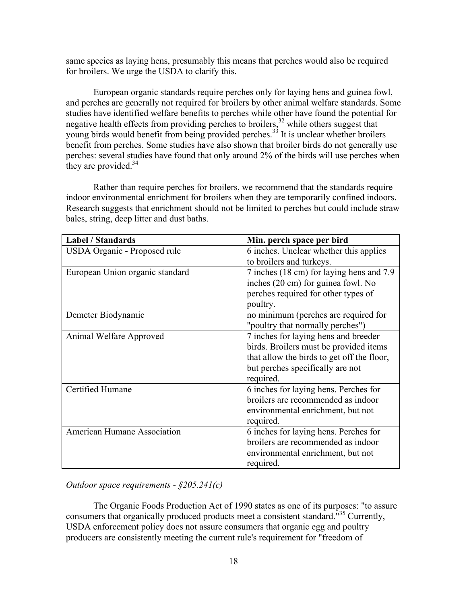same species as laying hens, presumably this means that perches would also be required for broilers. We urge the USDA to clarify this.

European organic standards require perches only for laying hens and guinea fowl, and perches are generally not required for broilers by other animal welfare standards. Some studies have identified welfare benefits to perches while other have found the potential for negative health effects from providing perches to broilers,<sup>32</sup> while others suggest that young birds would benefit from being provided perches.<sup>33</sup> It is unclear whether broilers benefit from perches. Some studies have also shown that broiler birds do not generally use perches: several studies have found that only around 2% of the birds will use perches when they are provided. $34$ 

Rather than require perches for broilers, we recommend that the standards require indoor environmental enrichment for broilers when they are temporarily confined indoors. Research suggests that enrichment should not be limited to perches but could include straw bales, string, deep litter and dust baths.

| <b>Label / Standards</b>           | Min. perch space per bird                  |
|------------------------------------|--------------------------------------------|
| USDA Organic - Proposed rule       | 6 inches. Unclear whether this applies     |
|                                    | to broilers and turkeys.                   |
| European Union organic standard    | 7 inches (18 cm) for laying hens and 7.9   |
|                                    | inches (20 cm) for guinea fowl. No         |
|                                    | perches required for other types of        |
|                                    | poultry.                                   |
| Demeter Biodynamic                 | no minimum (perches are required for       |
|                                    | "poultry that normally perches")           |
| Animal Welfare Approved            | 7 inches for laying hens and breeder       |
|                                    | birds. Broilers must be provided items     |
|                                    | that allow the birds to get off the floor, |
|                                    | but perches specifically are not           |
|                                    | required.                                  |
| Certified Humane                   | 6 inches for laying hens. Perches for      |
|                                    | broilers are recommended as indoor         |
|                                    | environmental enrichment, but not          |
|                                    | required.                                  |
| <b>American Humane Association</b> | 6 inches for laying hens. Perches for      |
|                                    | broilers are recommended as indoor         |
|                                    | environmental enrichment, but not          |
|                                    | required.                                  |

*Outdoor space requirements - §205.241(c)*

The Organic Foods Production Act of 1990 states as one of its purposes: "to assure consumers that organically produced products meet a consistent standard."<sup>35</sup> Currently, USDA enforcement policy does not assure consumers that organic egg and poultry producers are consistently meeting the current rule's requirement for "freedom of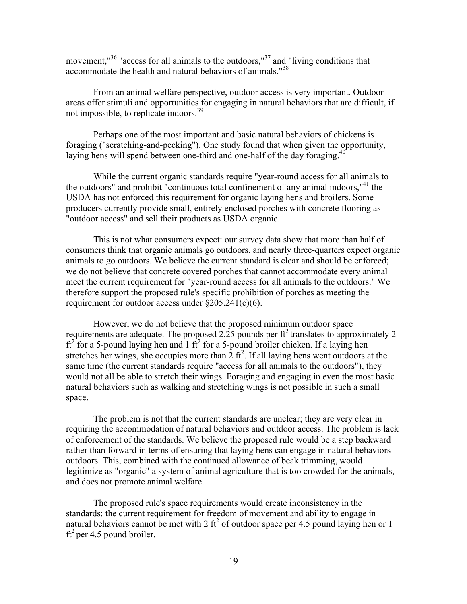movement,<sup>"36</sup> "access for all animals to the outdoors,"<sup>37</sup> and "living conditions that accommodate the health and natural behaviors of animals."<sup>38</sup>

From an animal welfare perspective, outdoor access is very important. Outdoor areas offer stimuli and opportunities for engaging in natural behaviors that are difficult, if not impossible, to replicate indoors.<sup>39</sup>

Perhaps one of the most important and basic natural behaviors of chickens is foraging ("scratching-and-pecking"). One study found that when given the opportunity, laying hens will spend between one-third and one-half of the day foraging.<sup>40</sup>

While the current organic standards require "year-round access for all animals to the outdoors" and prohibit "continuous total confinement of any animal indoors, $"^{41}$  the USDA has not enforced this requirement for organic laying hens and broilers. Some producers currently provide small, entirely enclosed porches with concrete flooring as "outdoor access" and sell their products as USDA organic.

This is not what consumers expect: our survey data show that more than half of consumers think that organic animals go outdoors, and nearly three-quarters expect organic animals to go outdoors. We believe the current standard is clear and should be enforced; we do not believe that concrete covered porches that cannot accommodate every animal meet the current requirement for "year-round access for all animals to the outdoors." We therefore support the proposed rule's specific prohibition of porches as meeting the requirement for outdoor access under §205.241(c)(6).

However, we do not believe that the proposed minimum outdoor space requirements are adequate. The proposed 2.25 pounds per  $\hat{\pi}^2$  translates to approximately 2  $ft<sup>2</sup>$  for a 5-pound laying hen and 1  $ft<sup>2</sup>$  for a 5-pound broiler chicken. If a laying hen stretches her wings, she occupies more than  $2 \text{ ft}^2$ . If all laying hens went outdoors at the same time (the current standards require "access for all animals to the outdoors"), they would not all be able to stretch their wings. Foraging and engaging in even the most basic natural behaviors such as walking and stretching wings is not possible in such a small space.

The problem is not that the current standards are unclear; they are very clear in requiring the accommodation of natural behaviors and outdoor access. The problem is lack of enforcement of the standards. We believe the proposed rule would be a step backward rather than forward in terms of ensuring that laying hens can engage in natural behaviors outdoors. This, combined with the continued allowance of beak trimming, would legitimize as "organic" a system of animal agriculture that is too crowded for the animals, and does not promote animal welfare.

The proposed rule's space requirements would create inconsistency in the standards: the current requirement for freedom of movement and ability to engage in natural behaviors cannot be met with 2  $\text{ft}^2$  of outdoor space per 4.5 pound laying hen or 1  $ft<sup>2</sup>$  per 4.5 pound broiler.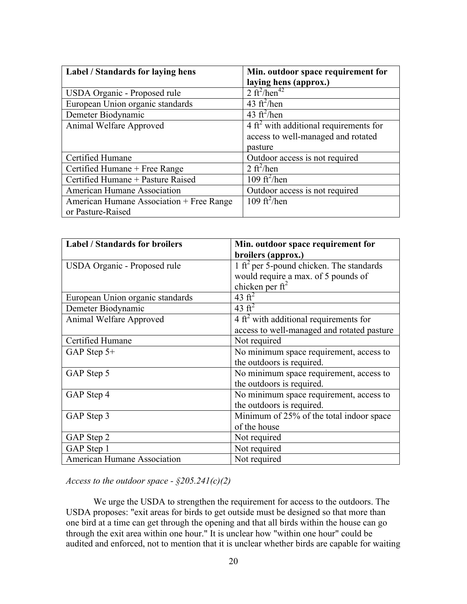| Label / Standards for laying hens        | Min. outdoor space requirement for                |
|------------------------------------------|---------------------------------------------------|
|                                          | laying hens (approx.)                             |
| USDA Organic - Proposed rule             | 2 ft <sup>2</sup> /hen <sup>42</sup>              |
| European Union organic standards         | 43 $\text{ft}^2/\text{hen}$                       |
| Demeter Biodynamic                       | 43 $ft^2/hen$                                     |
| Animal Welfare Approved                  | $4 \text{ ft}^2$ with additional requirements for |
|                                          | access to well-managed and rotated                |
|                                          | pasture                                           |
| Certified Humane                         | Outdoor access is not required                    |
| Certified Humane + Free Range            | 2 ft <sup>2</sup> /hen                            |
| Certified Humane + Pasture Raised        | 109 $\mathrm{ft}^2$ /hen                          |
| American Humane Association              | Outdoor access is not required                    |
| American Humane Association + Free Range | 109 $\mathrm{ft}^2$ /hen                          |
| or Pasture-Raised                        |                                                   |

| <b>Label / Standards for broilers</b> | Min. outdoor space requirement for                   |
|---------------------------------------|------------------------------------------------------|
|                                       | broilers (approx.)                                   |
| USDA Organic - Proposed rule          | 1 ft <sup>2</sup> per 5-pound chicken. The standards |
|                                       | would require a max. of 5 pounds of                  |
|                                       | chicken per $ft^2$                                   |
| European Union organic standards      | 43 $ft^2$                                            |
| Demeter Biodynamic                    | 43 $ft^2$                                            |
| Animal Welfare Approved               | $4 \text{ ft}^2$ with additional requirements for    |
|                                       | access to well-managed and rotated pasture           |
| Certified Humane                      | Not required                                         |
| GAP Step 5+                           | No minimum space requirement, access to              |
|                                       | the outdoors is required.                            |
| GAP Step 5                            | No minimum space requirement, access to              |
|                                       | the outdoors is required.                            |
| GAP Step 4                            | No minimum space requirement, access to              |
|                                       | the outdoors is required.                            |
| GAP Step 3                            | Minimum of 25% of the total indoor space             |
|                                       | of the house                                         |
| GAP Step 2                            | Not required                                         |
| GAP Step 1                            | Not required                                         |
| American Humane Association           | Not required                                         |

*Access to the outdoor space - §205.241(c)(2)*

We urge the USDA to strengthen the requirement for access to the outdoors. The USDA proposes: "exit areas for birds to get outside must be designed so that more than one bird at a time can get through the opening and that all birds within the house can go through the exit area within one hour." It is unclear how "within one hour" could be audited and enforced, not to mention that it is unclear whether birds are capable for waiting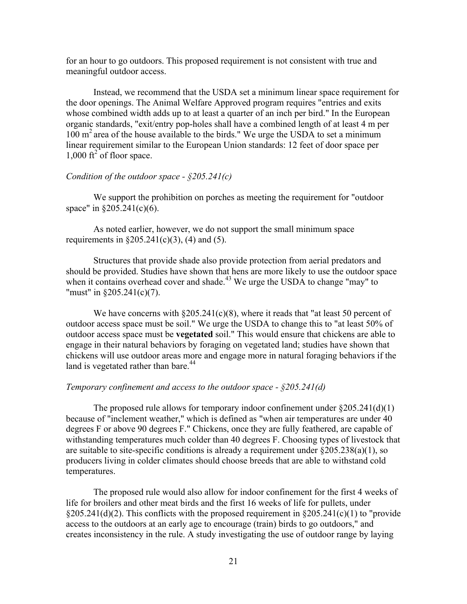for an hour to go outdoors. This proposed requirement is not consistent with true and meaningful outdoor access.

Instead, we recommend that the USDA set a minimum linear space requirement for the door openings. The Animal Welfare Approved program requires "entries and exits whose combined width adds up to at least a quarter of an inch per bird." In the European organic standards, "exit/entry pop-holes shall have a combined length of at least 4 m per 100 m2 area of the house available to the birds." We urge the USDA to set a minimum linear requirement similar to the European Union standards: 12 feet of door space per  $1,000 \text{ ft}^2$  of floor space.

# *Condition of the outdoor space - §205.241(c)*

We support the prohibition on porches as meeting the requirement for "outdoor space" in §205.241(c)(6).

As noted earlier, however, we do not support the small minimum space requirements in  $\S 205.241(c)(3)$ , (4) and (5).

Structures that provide shade also provide protection from aerial predators and should be provided. Studies have shown that hens are more likely to use the outdoor space when it contains overhead cover and shade.<sup>43</sup> We urge the USDA to change "may" to "must" in §205.241(c)(7).

We have concerns with  $\S205.241(c)(8)$ , where it reads that "at least 50 percent of outdoor access space must be soil." We urge the USDA to change this to "at least 50% of outdoor access space must be **vegetated** soil." This would ensure that chickens are able to engage in their natural behaviors by foraging on vegetated land; studies have shown that chickens will use outdoor areas more and engage more in natural foraging behaviors if the land is vegetated rather than bare.<sup>44</sup>

#### *Temporary confinement and access to the outdoor space - §205.241(d)*

The proposed rule allows for temporary indoor confinement under  $\S 205.241(d)(1)$ because of "inclement weather," which is defined as "when air temperatures are under 40 degrees F or above 90 degrees F." Chickens, once they are fully feathered, are capable of withstanding temperatures much colder than 40 degrees F. Choosing types of livestock that are suitable to site-specific conditions is already a requirement under  $\S 205.238(a)(1)$ , so producers living in colder climates should choose breeds that are able to withstand cold temperatures.

The proposed rule would also allow for indoor confinement for the first 4 weeks of life for broilers and other meat birds and the first 16 weeks of life for pullets, under  $\frac{205.241(d)(2)}{205.241(d)(2)}$ . This conflicts with the proposed requirement in  $\frac{205.241(c)(1)}{205.241(c)}$  to "provide" access to the outdoors at an early age to encourage (train) birds to go outdoors," and creates inconsistency in the rule. A study investigating the use of outdoor range by laying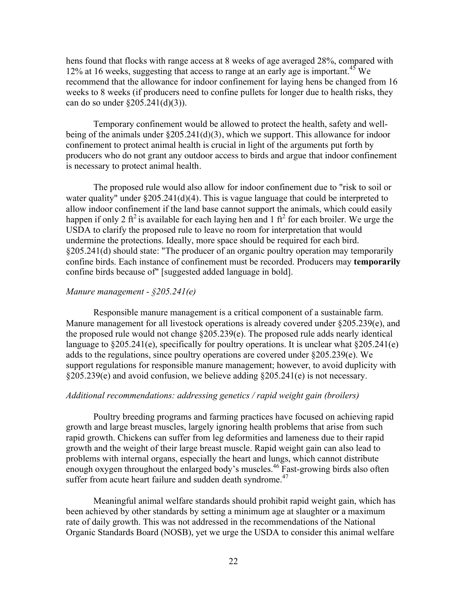hens found that flocks with range access at 8 weeks of age averaged 28%, compared with 12% at 16 weeks, suggesting that access to range at an early age is important.<sup>45</sup> We recommend that the allowance for indoor confinement for laying hens be changed from 16 weeks to 8 weeks (if producers need to confine pullets for longer due to health risks, they can do so under §205.241(d)(3)).

Temporary confinement would be allowed to protect the health, safety and wellbeing of the animals under §205.241(d)(3), which we support. This allowance for indoor confinement to protect animal health is crucial in light of the arguments put forth by producers who do not grant any outdoor access to birds and argue that indoor confinement is necessary to protect animal health.

The proposed rule would also allow for indoor confinement due to "risk to soil or water quality" under  $\S 205.241(d)(4)$ . This is vague language that could be interpreted to allow indoor confinement if the land base cannot support the animals, which could easily happen if only 2 ft<sup>2</sup> is available for each laying hen and 1 ft<sup>2</sup> for each broiler. We urge the USDA to clarify the proposed rule to leave no room for interpretation that would undermine the protections. Ideally, more space should be required for each bird. §205.241(d) should state: "The producer of an organic poultry operation may temporarily confine birds. Each instance of confinement must be recorded. Producers may **temporarily** confine birds because of" [suggested added language in bold].

# *Manure management - §205.241(e)*

Responsible manure management is a critical component of a sustainable farm. Manure management for all livestock operations is already covered under §205.239(e), and the proposed rule would not change §205.239(e). The proposed rule adds nearly identical language to  $\S 205.241(e)$ , specifically for poultry operations. It is unclear what  $\S 205.241(e)$ adds to the regulations, since poultry operations are covered under §205.239(e). We support regulations for responsible manure management; however, to avoid duplicity with §205.239(e) and avoid confusion, we believe adding §205.241(e) is not necessary.

#### *Additional recommendations: addressing genetics / rapid weight gain (broilers)*

Poultry breeding programs and farming practices have focused on achieving rapid growth and large breast muscles, largely ignoring health problems that arise from such rapid growth. Chickens can suffer from leg deformities and lameness due to their rapid growth and the weight of their large breast muscle. Rapid weight gain can also lead to problems with internal organs, especially the heart and lungs, which cannot distribute enough oxygen throughout the enlarged body's muscles.<sup>46</sup> Fast-growing birds also often suffer from acute heart failure and sudden death syndrome.<sup>47</sup>

Meaningful animal welfare standards should prohibit rapid weight gain, which has been achieved by other standards by setting a minimum age at slaughter or a maximum rate of daily growth. This was not addressed in the recommendations of the National Organic Standards Board (NOSB), yet we urge the USDA to consider this animal welfare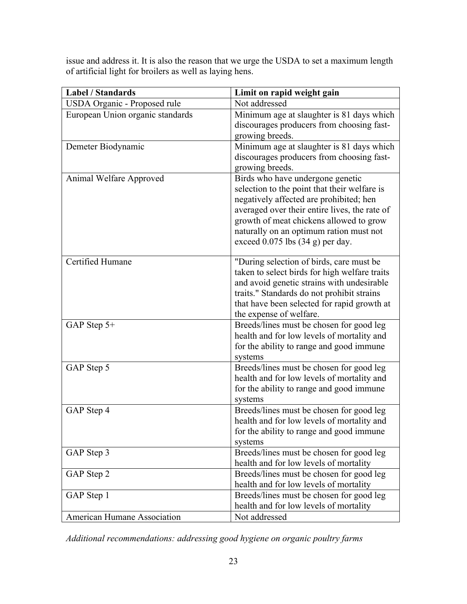issue and address it. It is also the reason that we urge the USDA to set a maximum length of artificial light for broilers as well as laying hens.

| <b>Label / Standards</b>         | Limit on rapid weight gain                                                                                                                                                                                                                                                                                 |
|----------------------------------|------------------------------------------------------------------------------------------------------------------------------------------------------------------------------------------------------------------------------------------------------------------------------------------------------------|
| USDA Organic - Proposed rule     | Not addressed                                                                                                                                                                                                                                                                                              |
| European Union organic standards | Minimum age at slaughter is 81 days which<br>discourages producers from choosing fast-<br>growing breeds.                                                                                                                                                                                                  |
| Demeter Biodynamic               | Minimum age at slaughter is 81 days which<br>discourages producers from choosing fast-<br>growing breeds.                                                                                                                                                                                                  |
| Animal Welfare Approved          | Birds who have undergone genetic<br>selection to the point that their welfare is<br>negatively affected are prohibited; hen<br>averaged over their entire lives, the rate of<br>growth of meat chickens allowed to grow<br>naturally on an optimum ration must not<br>exceed $0.075$ lbs $(34 g)$ per day. |
| Certified Humane                 | "During selection of birds, care must be.<br>taken to select birds for high welfare traits<br>and avoid genetic strains with undesirable<br>traits." Standards do not prohibit strains<br>that have been selected for rapid growth at<br>the expense of welfare.                                           |
| GAP Step 5+                      | Breeds/lines must be chosen for good leg<br>health and for low levels of mortality and<br>for the ability to range and good immune<br>systems                                                                                                                                                              |
| GAP Step 5                       | Breeds/lines must be chosen for good leg<br>health and for low levels of mortality and<br>for the ability to range and good immune<br>systems                                                                                                                                                              |
| GAP Step 4                       | Breeds/lines must be chosen for good leg<br>health and for low levels of mortality and<br>for the ability to range and good immune<br>systems                                                                                                                                                              |
| GAP Step 3                       | Breeds/lines must be chosen for good leg<br>health and for low levels of mortality                                                                                                                                                                                                                         |
| GAP Step 2                       | Breeds/lines must be chosen for good leg<br>health and for low levels of mortality                                                                                                                                                                                                                         |
| GAP Step 1                       | Breeds/lines must be chosen for good leg<br>health and for low levels of mortality                                                                                                                                                                                                                         |
| American Humane Association      | Not addressed                                                                                                                                                                                                                                                                                              |

*Additional recommendations: addressing good hygiene on organic poultry farms*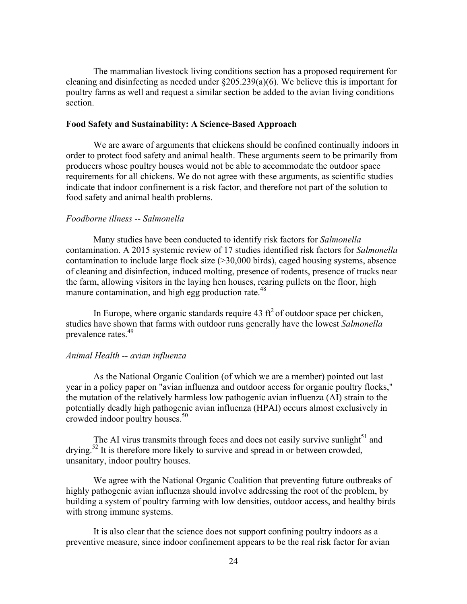The mammalian livestock living conditions section has a proposed requirement for cleaning and disinfecting as needed under §205.239(a)(6). We believe this is important for poultry farms as well and request a similar section be added to the avian living conditions section.

## **Food Safety and Sustainability: A Science-Based Approach**

We are aware of arguments that chickens should be confined continually indoors in order to protect food safety and animal health. These arguments seem to be primarily from producers whose poultry houses would not be able to accommodate the outdoor space requirements for all chickens. We do not agree with these arguments, as scientific studies indicate that indoor confinement is a risk factor, and therefore not part of the solution to food safety and animal health problems.

# *Foodborne illness -- Salmonella*

Many studies have been conducted to identify risk factors for *Salmonella* contamination. A 2015 systemic review of 17 studies identified risk factors for *Salmonella* contamination to include large flock size (>30,000 birds), caged housing systems, absence of cleaning and disinfection, induced molting, presence of rodents, presence of trucks near the farm, allowing visitors in the laying hen houses, rearing pullets on the floor, high manure contamination, and high egg production rate.<sup>48</sup>

In Europe, where organic standards require 43  $\text{ft}^2$  of outdoor space per chicken, studies have shown that farms with outdoor runs generally have the lowest *Salmonella* prevalence rates.<sup>49</sup>

#### *Animal Health -- avian influenza*

As the National Organic Coalition (of which we are a member) pointed out last year in a policy paper on "avian influenza and outdoor access for organic poultry flocks," the mutation of the relatively harmless low pathogenic avian influenza (AI) strain to the potentially deadly high pathogenic avian influenza (HPAI) occurs almost exclusively in crowded indoor poultry houses.<sup>50</sup>

The AI virus transmits through feces and does not easily survive sunlight $51$  and drying.52 It is therefore more likely to survive and spread in or between crowded, unsanitary, indoor poultry houses.

We agree with the National Organic Coalition that preventing future outbreaks of highly pathogenic avian influenza should involve addressing the root of the problem, by building a system of poultry farming with low densities, outdoor access, and healthy birds with strong immune systems.

It is also clear that the science does not support confining poultry indoors as a preventive measure, since indoor confinement appears to be the real risk factor for avian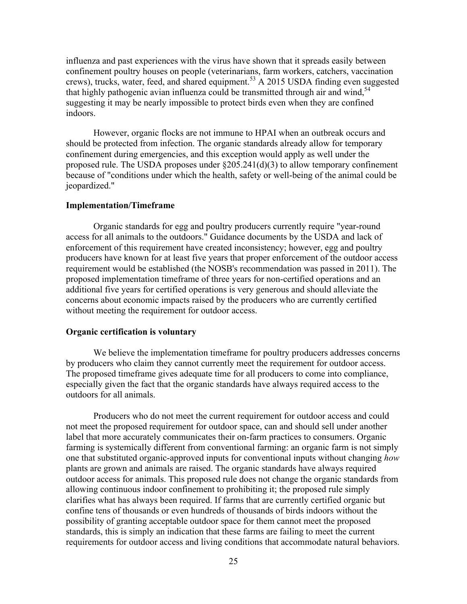influenza and past experiences with the virus have shown that it spreads easily between confinement poultry houses on people (veterinarians, farm workers, catchers, vaccination crews), trucks, water, feed, and shared equipment.<sup>53</sup> A 2015 USDA finding even suggested that highly pathogenic avian influenza could be transmitted through air and wind,<sup>54</sup> suggesting it may be nearly impossible to protect birds even when they are confined indoors.

However, organic flocks are not immune to HPAI when an outbreak occurs and should be protected from infection. The organic standards already allow for temporary confinement during emergencies, and this exception would apply as well under the proposed rule. The USDA proposes under §205.241(d)(3) to allow temporary confinement because of "conditions under which the health, safety or well-being of the animal could be jeopardized."

#### **Implementation/Timeframe**

Organic standards for egg and poultry producers currently require "year-round access for all animals to the outdoors." Guidance documents by the USDA and lack of enforcement of this requirement have created inconsistency; however, egg and poultry producers have known for at least five years that proper enforcement of the outdoor access requirement would be established (the NOSB's recommendation was passed in 2011). The proposed implementation timeframe of three years for non-certified operations and an additional five years for certified operations is very generous and should alleviate the concerns about economic impacts raised by the producers who are currently certified without meeting the requirement for outdoor access.

#### **Organic certification is voluntary**

We believe the implementation timeframe for poultry producers addresses concerns by producers who claim they cannot currently meet the requirement for outdoor access. The proposed timeframe gives adequate time for all producers to come into compliance, especially given the fact that the organic standards have always required access to the outdoors for all animals.

Producers who do not meet the current requirement for outdoor access and could not meet the proposed requirement for outdoor space, can and should sell under another label that more accurately communicates their on-farm practices to consumers. Organic farming is systemically different from conventional farming: an organic farm is not simply one that substituted organic-approved inputs for conventional inputs without changing *how* plants are grown and animals are raised. The organic standards have always required outdoor access for animals. This proposed rule does not change the organic standards from allowing continuous indoor confinement to prohibiting it; the proposed rule simply clarifies what has always been required. If farms that are currently certified organic but confine tens of thousands or even hundreds of thousands of birds indoors without the possibility of granting acceptable outdoor space for them cannot meet the proposed standards, this is simply an indication that these farms are failing to meet the current requirements for outdoor access and living conditions that accommodate natural behaviors.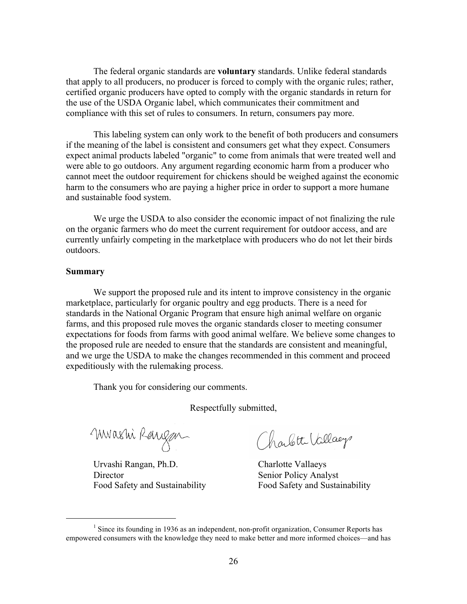The federal organic standards are **voluntary** standards. Unlike federal standards that apply to all producers, no producer is forced to comply with the organic rules; rather, certified organic producers have opted to comply with the organic standards in return for the use of the USDA Organic label, which communicates their commitment and compliance with this set of rules to consumers. In return, consumers pay more.

This labeling system can only work to the benefit of both producers and consumers if the meaning of the label is consistent and consumers get what they expect. Consumers expect animal products labeled "organic" to come from animals that were treated well and were able to go outdoors. Any argument regarding economic harm from a producer who cannot meet the outdoor requirement for chickens should be weighed against the economic harm to the consumers who are paying a higher price in order to support a more humane and sustainable food system.

We urge the USDA to also consider the economic impact of not finalizing the rule on the organic farmers who do meet the current requirement for outdoor access, and are currently unfairly competing in the marketplace with producers who do not let their birds outdoors.

#### **Summary**

We support the proposed rule and its intent to improve consistency in the organic marketplace, particularly for organic poultry and egg products. There is a need for standards in the National Organic Program that ensure high animal welfare on organic farms, and this proposed rule moves the organic standards closer to meeting consumer expectations for foods from farms with good animal welfare. We believe some changes to the proposed rule are needed to ensure that the standards are consistent and meaningful, and we urge the USDA to make the changes recommended in this comment and proceed expeditiously with the rulemaking process.

Thank you for considering our comments.

Respectfully submitted,

Muashi Rangan

!!!!!!!!!!!!!!!!!!!!!!!!!!!!!!!!!!!!!!!!!!!!!!!!!!!!!!!

 Urvashi Rangan, Ph.D. Charlotte Vallaeys Director Senior Policy Analyst

Charlotte Vallage

Food Safety and Sustainability Food Safety and Sustainability

 $<sup>1</sup>$  Since its founding in 1936 as an independent, non-profit organization, Consumer Reports has</sup> empowered consumers with the knowledge they need to make better and more informed choices—and has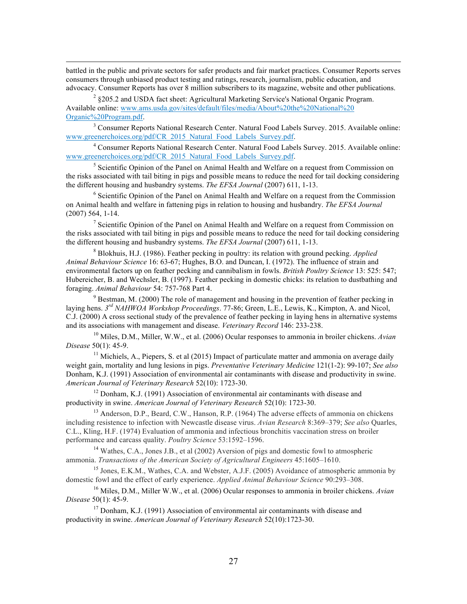battled in the public and private sectors for safer products and fair market practices. Consumer Reports serves consumers through unbiased product testing and ratings, research, journalism, public education, and advocacy. Consumer Reports has over 8 million subscribers to its magazine, website and other publications.

!!!!!!!!!!!!!!!!!!!!!!!!!!!!!!!!!!!!!!!!!!!!!!!!!!!!!!!!!!!!!!!!!!!!!!!!!!!!!!!!!!!!!!!!!!!!!!!!!!!!!!!!!!!!!!!!!!!!!!!!!!!!!!!!!!!!!!!!!!!!!!!!!!!!!!!!!!!!!!!!!!!!!!!

 $2 \text{ }\frac{2}{3}$  205.2 and USDA fact sheet: Agricultural Marketing Service's National Organic Program. Available online: www.ams.usda.gov/sites/default/files/media/About%20the%20National%20 Organic%20Program.pdf.

<sup>3</sup> Consumer Reports National Research Center. Natural Food Labels Survey. 2015. Available online: www.greenerchoices.org/pdf/CR\_2015\_Natural\_Food\_Labels\_Survey.pdf.

<sup>4</sup> Consumer Reports National Research Center. Natural Food Labels Survey. 2015. Available online: www.greenerchoices.org/pdf/CR\_2015\_Natural\_Food\_Labels\_Survey.pdf.

<sup>5</sup> Scientific Opinion of the Panel on Animal Health and Welfare on a request from Commission on the risks associated with tail biting in pigs and possible means to reduce the need for tail docking considering the different housing and husbandry systems. *The EFSA Journal* (2007) 611, 1-13.

<sup>6</sup> Scientific Opinion of the Panel on Animal Health and Welfare on a request from the Commission on Animal health and welfare in fattening pigs in relation to housing and husbandry. *The EFSA Journal*  (2007) 564, 1-14.

<sup>7</sup> Scientific Opinion of the Panel on Animal Health and Welfare on a request from Commission on the risks associated with tail biting in pigs and possible means to reduce the need for tail docking considering the different housing and husbandry systems. *The EFSA Journal* (2007) 611, 1-13.

<sup>8</sup> Blokhuis, H.J. (1986). Feather pecking in poultry: its relation with ground pecking. *Applied Animal Behaviour Science* 16: 63-67; Hughes, B.O. and Duncan, I. (1972). The influence of strain and environmental factors up on feather pecking and cannibalism in fowls. *British Poultry Science* 13: 525: 547; Hubereicher, B. and Wechsler, B. (1997). Feather pecking in domestic chicks: its relation to dustbathing and foraging. *Animal Behaviour* 54: 757-768 Part 4.

<sup>9</sup> Bestman, M. (2000) The role of management and housing in the prevention of feather pecking in laying hens. *3rd NAHWOA Workshop Proceedings*. 77-86; Green, L.E., Lewis, K., Kimpton, A. and Nicol, C.J. (2000) A cross sectional study of the prevalence of feather pecking in laying hens in alternative systems and its associations with management and disease. *Veterinary Record* 146: 233-238.

<sup>10</sup> Miles, D.M., Miller, W.W., et al. (2006) Ocular responses to ammonia in broiler chickens. *Avian Disease* 50(1): 45-9.

<sup>11</sup> Michiels, A., Piepers, S. et al (2015) Impact of particulate matter and ammonia on average daily weight gain, mortality and lung lesions in pigs. *Preventative Veterinary Medicine* 121(1-2): 99-107; *See also*  Donham, K.J. (1991) Association of environmental air contaminants with disease and productivity in swine. *American Journal of Veterinary Research* 52(10): 1723-30.

<sup>12</sup> Donham, K.J. (1991) Association of environmental air contaminants with disease and productivity in swine. *American Journal of Veterinary Research* 52(10): 1723-30.

<sup>13</sup> Anderson, D.P., Beard, C.W., Hanson, R.P. (1964) The adverse effects of ammonia on chickens including resistence to infection with Newcastle disease virus. *Avian Research* 8:369–379; *See also* Quarles, C.L., Kling, H.F. (1974) Evaluation of ammonia and infectious bronchitis vaccination stress on broiler performance and carcass quality. *Poultry Science* 53:1592–1596.

<sup>14</sup> Wathes, C.A., Jones J.B., et al (2002) Aversion of pigs and domestic fowl to atmospheric ammonia. *Transactions of the American Society of Agricultural Engineers* 45:1605–1610.<br><sup>15</sup> Jones, E.K.M., Wathes, C.A. and Webster, A.J.F. (2005) Avoidance of atmospheric ammonia by

domestic fowl and the effect of early experience. *Applied Animal Behaviour Science* 90:293–308.

<sup>16</sup> Miles, D.M., Miller W.W., et al. (2006) Ocular responses to ammonia in broiler chickens. *Avian Disease* 50(1): 45-9.

 $17$  Donham, K.J. (1991) Association of environmental air contaminants with disease and productivity in swine. *American Journal of Veterinary Research* 52(10):1723-30.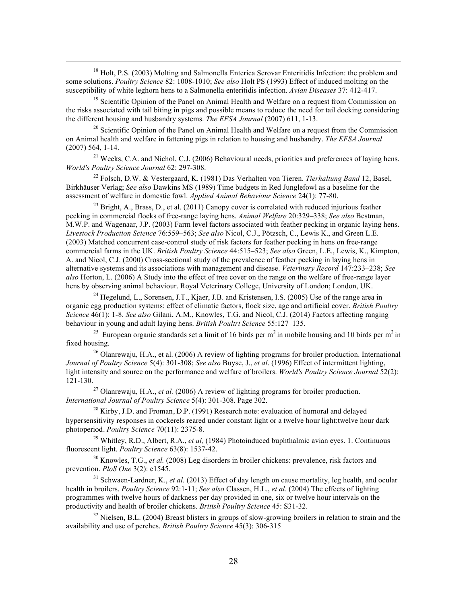<sup>18</sup> Holt, P.S. (2003) Molting and Salmonella Enterica Serovar Enteritidis Infection: the problem and some solutions. *Poultry Science* 82: 1008-1010; *See also* Holt PS (1993) Effect of induced molting on the susceptibility of white leghorn hens to a Salmonella enteritidis infection. *Avian Diseases* 37: 412-417.

!!!!!!!!!!!!!!!!!!!!!!!!!!!!!!!!!!!!!!!!!!!!!!!!!!!!!!!!!!!!!!!!!!!!!!!!!!!!!!!!!!!!!!!!!!!!!!!!!!!!!!!!!!!!!!!!!!!!!!!!!!!!!!!!!!!!!!!!!!!!!!!!!!!!!!!!!!!!!!!!!!!!!!!

<sup>19</sup> Scientific Opinion of the Panel on Animal Health and Welfare on a request from Commission on the risks associated with tail biting in pigs and possible means to reduce the need for tail docking considering the different housing and husbandry systems. *The EFSA Journal* (2007) 611, 1-13.

 $20$  Scientific Opinion of the Panel on Animal Health and Welfare on a request from the Commission on Animal health and welfare in fattening pigs in relation to housing and husbandry. *The EFSA Journal*  (2007) 564, 1-14.

<sup>21</sup> Weeks, C.A. and Nichol, C.J. (2006) Behavioural needs, priorities and preferences of laying hens. *World's Poultry Science Journal* 62: 297-308.

<sup>22</sup> Folsch, D.W. & Vestergaard, K. (1981) Das Verhalten von Tieren. *Tierhaltung Band* 12, Basel, Birkhäuser Verlag; *See also* Dawkins MS (1989) Time budgets in Red Junglefowl as a baseline for the assessment of welfare in domestic fowl. *Applied Animal Behaviour Science* 24(1): 77-80.

<sup>23</sup> Bright, A., Brass, D., et al. (2011) Canopy cover is correlated with reduced injurious feather pecking in commercial flocks of free-range laying hens. *Animal Welfare* 20:329–338; *See also* Bestman, M.W.P. and Wagenaar, J.P. (2003) Farm level factors associated with feather pecking in organic laying hens. *Livestock Production Science* 76:559–563; *See also* Nicol, C.J., Pötzsch, C., Lewis K., and Green L.E. (2003) Matched concurrent case-control study of risk factors for feather pecking in hens on free-range commercial farms in the UK. *British Poultry Science* 44:515–523; *See also* Green, L.E., Lewis, K., Kimpton, A. and Nicol, C.J. (2000) Cross-sectional study of the prevalence of feather pecking in laying hens in alternative systems and its associations with management and disease. *Veterinary Record* 147:233–238; *See also* Horton, L. (2006) A Study into the effect of tree cover on the range on the welfare of free-range layer hens by observing animal behaviour. Royal Veterinary College, University of London; London, UK.

<sup>24</sup> Hegelund, L., Sorensen, J.T., Kjaer, J.B. and Kristensen, I.S. (2005) Use of the range area in organic egg production systems: effect of climatic factors, flock size, age and artificial cover. *British Poultry Science* 46(1): 1-8. *See also* Gilani, A.M., Knowles, T.G. and Nicol, C.J. (2014) Factors affecting ranging behaviour in young and adult laying hens. *British Poultrt Science* 55:127–135.

<sup>25</sup> European organic standards set a limit of 16 birds per m<sup>2</sup> in mobile housing and 10 birds per m<sup>2</sup> in fixed housing.

<sup>26</sup> Olanrewaju, H.A., et al. (2006) A review of lighting programs for broiler production. International *Journal of Poultry Science* 5(4): 301-308; *See also* Buyse, J., *et al*. (1996) Effect of intermittent lighting, light intensity and source on the performance and welfare of broilers. *World's Poultry Science Journal* 52(2): 121-130.

<sup>27</sup> Olanrewaju, H.A., *et al.* (2006) A review of lighting programs for broiler production. *International Journal of Poultry Science* 5(4): 301-308. Page 302.

<sup>28</sup> Kirby, J.D. and Froman, D.P. (1991) Research note: evaluation of humoral and delayed hypersensitivity responses in cockerels reared under constant light or a twelve hour light:twelve hour dark photoperiod. *Poultry Science* 70(11): 2375-8.

<sup>29</sup> Whitley, R.D., Albert, R.A., *et al,* (1984) Photoinduced buphthalmic avian eyes. 1. Continuous fluorescent light. *Poultry Science* 63(8): 1537-42.

<sup>30</sup> Knowles, T.G., *et al.* (2008) Leg disorders in broiler chickens: prevalence, risk factors and prevention. *PloS One* 3(2): e1545.

<sup>31</sup> Schwaen-Lardner, K., *et al.* (2013) Effect of day length on cause mortality, leg health, and ocular health in broilers. *Poultry Science* 92:1-11; *See also* Classen, H.L., *et al.* (2004) The effects of lighting programmes with twelve hours of darkness per day provided in one, six or twelve hour intervals on the productivity and health of broiler chickens. *British Poultry Science* 45: S31-32.

 $32$  Nielsen, B.L. (2004) Breast blisters in groups of slow-growing broilers in relation to strain and the availability and use of perches. *British Poultry Science* 45(3): 306-315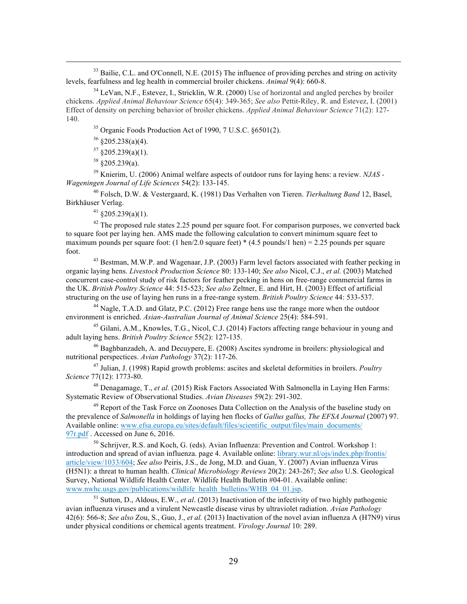<sup>33</sup> Bailie, C.L. and O'Connell, N.E. (2015) The influence of providing perches and string on activity levels, fearfulness and leg health in commercial broiler chickens. *Animal* 9(4): 660-8.

!!!!!!!!!!!!!!!!!!!!!!!!!!!!!!!!!!!!!!!!!!!!!!!!!!!!!!!!!!!!!!!!!!!!!!!!!!!!!!!!!!!!!!!!!!!!!!!!!!!!!!!!!!!!!!!!!!!!!!!!!!!!!!!!!!!!!!!!!!!!!!!!!!!!!!!!!!!!!!!!!!!!!!!

<sup>34</sup> LeVan, N.F., Estevez, I., Stricklin, W.R. (2000) Use of horizontal and angled perches by broiler chickens. *Applied Animal Behaviour Science* 65(4): 349-365; *See also* Pettit-Riley, R. and Estevez, I. (2001) Effect of density on perching behavior of broiler chickens. *Applied Animal Behaviour Science* 71(2): 127- 140.

<sup>35</sup> Organic Foods Production Act of 1990, 7 U.S.C. §6501(2).

 $36 \text{ } $205.238(a)(4)$ .

 $37 \times 205.239(a)(1)$ .

 $38 \text{ } \frac{\text{ }3205.239(a)}{a}$ .

<sup>39</sup> Knierim, U. (2006) Animal welfare aspects of outdoor runs for laying hens: a review. *NJAS - Wageningen Journal of Life Sciences* 54(2): 133-145.

<sup>40</sup> Folsch, D.W. & Vestergaard, K. (1981) Das Verhalten von Tieren. *Tierhaltung Band* 12, Basel, Birkhäuser Verlag.

 $41$  §205.239(a)(1).

 $42$  The proposed rule states 2.25 pound per square foot. For comparison purposes, we converted back to square foot per laying hen. AMS made the following calculation to convert minimum square feet to maximum pounds per square foot: (1 hen/2.0 square feet)  $*(4.5 \text{ pounds/l hen}) = 2.25 \text{ pounds per square}$ foot.

<sup>43</sup> Bestman, M.W.P. and Wagenaar, J.P. (2003) Farm level factors associated with feather pecking in organic laying hens. *Livestock Production Science* 80: 133-140; *See also* Nicol, C.J., *et al.* (2003) Matched concurrent case-control study of risk factors for feather pecking in hens on free-range commercial farms in the UK. *British Poultry Science* 44: 515-523; *See also* Zeltner, E. and Hirt, H. (2003) Effect of artificial structuring on the use of laying hen runs in a free-range system. *British Poultry Science* 44: 533-537.

<sup>44</sup> Nagle, T.A.D. and Glatz, P.C. (2012) Free range hens use the range more when the outdoor environment is enriched. *Asian-Australian Journal of Animal Science* 25(4): 584-591.

<sup>45</sup> Gilani, A.M., Knowles, T.G., Nicol, C.J. (2014) Factors affecting range behaviour in young and adult laying hens. *British Poultry Science* 55(2): 127-135.

<sup>46</sup> Baghbanzadeh, A. and Decuypere, E. (2008) Ascites syndrome in broilers: physiological and nutritional perspectices. *Avian Pathology* 37(2): 117-26.

<sup>47</sup> Julian, J. (1998) Rapid growth problems: ascites and skeletal deformities in broilers. *Poultry Science* 77(12): 1773-80.

<sup>48</sup> Denagamage, T., *et al.* (2015) Risk Factors Associated With Salmonella in Laying Hen Farms: Systematic Review of Observational Studies. *Avian Diseases* 59(2): 291-302.

<sup>49</sup> Report of the Task Force on Zoonoses Data Collection on the Analysis of the baseline study on the prevalence of *Salmonella* in holdings of laying hen flocks of *Gallus gallus, The EFSA Journal* (2007) 97. Available online: www.efsa.europa.eu/sites/default/files/scientific\_output/files/main\_documents/ 97r.pdf . Accessed on June 6, 2016.

<sup>50</sup> Schrijver, R.S. and Koch, G. (eds). Avian Influenza: Prevention and Control. Workshop 1: introduction and spread of avian influenza. page 4. Available online: library.wur.nl/ojs/index.php/frontis/ article/view/1033/604; *See also* Peiris, J.S., de Jong, M.D. and Guan, Y. (2007) Avian influenza Virus (H5N1): a threat to human health. *Clinical Microbiology Reviews* 20(2): 243-267; *See also* U.S. Geological Survey, National Wildlife Health Center. Wildlife Health Bulletin #04-01. Available online: www.nwhc.usgs.gov/publications/wildlife\_health\_bulletins/WHB\_04\_01.jsp.

<sup>51</sup> Sutton, D., Aldous, E.W., *et al*. (2013) Inactivation of the infectivity of two highly pathogenic avian influenza viruses and a virulent Newcastle disease virus by ultraviolet radiation. *Avian Pathology*  42(6): 566-8; *See also* Zou, S., Guo, J., *et al.* (2013) Inactivation of the novel avian influenza A (H7N9) virus under physical conditions or chemical agents treatment. *Virology Journal* 10: 289.